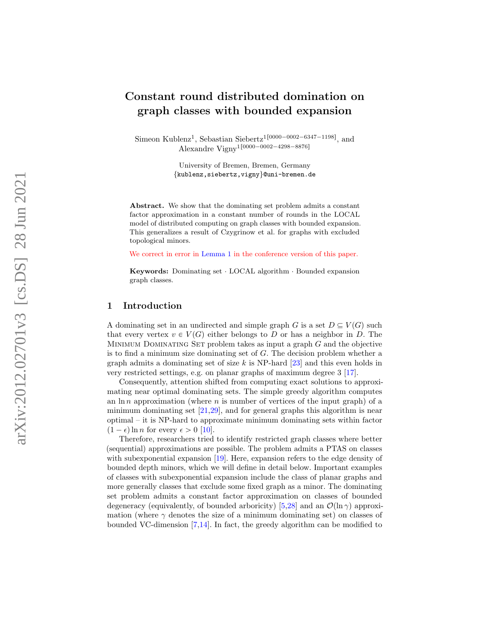# Constant round distributed domination on graph classes with bounded expansion

Simeon Kublenz<sup>1</sup>, Sebastian Siebertz<sup>1[0000–0002–6347–1198]</sup>, and Alexandre Vigny<sup>1</sup><sup>[0000–0002–4298–8876]</sup>

> University of Bremen, Bremen, Germany {kublenz,siebertz,vigny }@uni-bremen.de

Abstract. We show that the dominating set problem admits a constant factor approximation in a constant number of rounds in the LOCAL model of distributed computing on graph classes with bounded expansion . This generalizes a result of Czygrinow et al. for graphs with excluded topological minors.

We correct in error in [Lemma 1](#page-5-0) in the conference version of this paper.

Keywords: Dominating set · LOCAL algorithm · Bounded expansion graph classes.

## 1 Introduction

A dominating set in an undirected and simple graph G is a set  $D \subseteq V(G)$  such that every vertex  $v \in V(G)$  either belongs to D or has a neighbor in D. The MINIMUM DOMINATING SET problem takes as input a graph  $G$  and the objective is to find a minimum size dominating set of G. The decision problem whether a graph admits a dominating set of size  $k$  is NP-hard  $[23]$  and this even holds in very restricted settings, e.g. on planar graphs of maximum degree 3 [\[17\]](#page-16-1).

Consequently, attention shifted from computing exact solutions to approximating near optimal dominating sets. The simple greedy algorithm computes an  $\ln n$  approximation (where *n* is number of vertices of the input graph) of a minimum dominating set  $[21,29]$  $[21,29]$ , and for general graphs this algorithm is near optimal – it is NP-hard to approximate minimum dominating sets within factor  $(1 - \epsilon) \ln n$  for every  $\epsilon > 0$  [\[10\]](#page-15-0).

Therefore, researchers tried to identify restricted graph classes where better (sequential) approximations are possible. The problem admits a PTAS on classes with subexponential expansion [\[19\]](#page-16-4). Here, expansion refers to the edge density of bounded depth minors, which we will define in detail below. Important examples of classes with subexponential expansion include the class of planar graphs and more generally classes that exclude some fixed graph as a minor. The dominating set problem admits a constant factor approximation on classes of bounded degeneracy (equivalently, of bounded arboricity) [[5](#page-15-1)[,28\]](#page-16-5) and an  $\mathcal{O}(\ln \gamma)$  approximation (where  $\gamma$  denotes the size of a minimum dominating set) on classes of bounded VC-dimension [ [7](#page-15-2) [,14\]](#page-16-6). In fact, the greedy algorithm can be modified to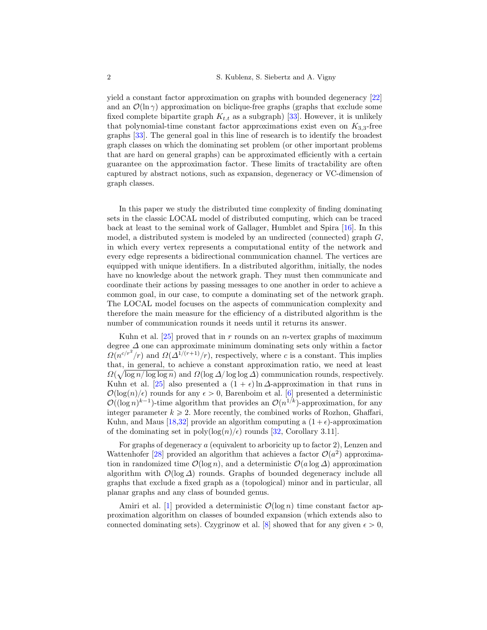yield a constant factor approximation on graphs with bounded degeneracy [\[22\]](#page-16-7) and an  $\mathcal{O}(\ln \gamma)$  approximation on biclique-free graphs (graphs that exclude some fixed complete bipartite graph  $K_{t,t}$  as a subgraph) [\[33\]](#page-17-0). However, it is unlikely that polynomial-time constant factor approximations exist even on  $K_{3,3}$ -free graphs [\[33\]](#page-17-0). The general goal in this line of research is to identify the broadest graph classes on which the dominating set problem (or other important problems that are hard on general graphs) can be approximated efficiently with a certain guarantee on the approximation factor. These limits of tractability are often captured by abstract notions, such as expansion, degeneracy or VC-dimension of graph classes.

In this paper we study the distributed time complexity of finding dominating sets in the classic LOCAL model of distributed computing, which can be traced back at least to the seminal work of Gallager, Humblet and Spira [\[16\]](#page-16-8). In this model, a distributed system is modeled by an undirected (connected) graph  $G$ , in which every vertex represents a computational entity of the network and every edge represents a bidirectional communication channel. The vertices are equipped with unique identifiers. In a distributed algorithm, initially, the nodes have no knowledge about the network graph. They must then communicate and coordinate their actions by passing messages to one another in order to achieve a common goal, in our case, to compute a dominating set of the network graph. The LOCAL model focuses on the aspects of communication complexity and therefore the main measure for the efficiency of a distributed algorithm is the number of communication rounds it needs until it returns its answer.

Kuhn et al.  $[25]$  proved that in r rounds on an n-vertex graphs of maximum degree  $\Delta$  one can approximate minimum dominating sets only within a factor  $\Omega(n^{c/r^2}/r)$  and  $\Omega(\overline{\Delta}^{1/(r+1)}/r)$ , respectively, where c is a constant. This implies that, in general, to achieve a constant approximation ratio, we need at least a  $\Omega(\sqrt{\log n/\log \log n})$  and  $\Omega(\log \Delta/\log \log \Delta)$  communication rounds, respectively. Kuhn et al. [\[25\]](#page-16-9) also presented a  $(1 + \epsilon) \ln \Delta$ -approximation in that runs in  $\mathcal{O}(\log(n)/\epsilon)$  rounds for any  $\epsilon > 0$ , Barenboim et al. [\[6\]](#page-15-3) presented a deterministic  $\mathcal{O}((\log n)^{k-1})$ -time algorithm that provides an  $\mathcal{O}(n^{1/k})$ -approximation, for any integer parameter  $k \geq 2$ . More recently, the combined works of Rozhon, Ghaffari, Kuhn, and Maus [\[18,](#page-16-10)[32\]](#page-17-1) provide an algorithm computing a  $(1+\epsilon)$ -approximation of the dominating set in  $\text{poly}(\log(n)/\epsilon)$  rounds [\[32,](#page-17-1) Corollary 3.11].

For graphs of degeneracy a (equivalent to arboricity up to factor 2), Lenzen and Wattenhofer [\[28\]](#page-16-5) provided an algorithm that achieves a factor  $\mathcal{O}(a^2)$  approximation in randomized time  $\mathcal{O}(\log n)$ , and a deterministic  $\mathcal{O}(a \log \Delta)$  approximation algorithm with  $\mathcal{O}(\log \Delta)$  rounds. Graphs of bounded degeneracy include all graphs that exclude a fixed graph as a (topological) minor and in particular, all planar graphs and any class of bounded genus.

Amiri et al. [\[1\]](#page-15-4) provided a deterministic  $\mathcal{O}(\log n)$  time constant factor approximation algorithm on classes of bounded expansion (which extends also to connected dominating sets). Czygrinow et al. [\[8\]](#page-15-5) showed that for any given  $\epsilon > 0$ ,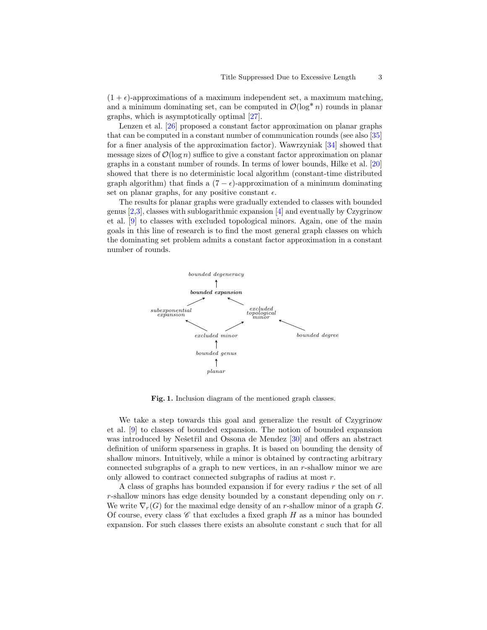$(1 + \epsilon)$ -approximations of a maximum independent set, a maximum matching, and a minimum dominating set, can be computed in  $\mathcal{O}(\log^* n)$  rounds in planar graphs, which is asymptotically optimal [\[27\]](#page-16-11).

Lenzen et al. [\[26\]](#page-16-12) proposed a constant factor approximation on planar graphs that can be computed in a constant number of communication rounds (see also [\[35\]](#page-17-2) for a finer analysis of the approximation factor). Wawrzyniak [\[34\]](#page-17-3) showed that message sizes of  $\mathcal{O}(\log n)$  suffice to give a constant factor approximation on planar graphs in a constant number of rounds. In terms of lower bounds, Hilke et al. [\[20\]](#page-16-13) showed that there is no deterministic local algorithm (constant-time distributed graph algorithm) that finds a  $(7 - \epsilon)$ -approximation of a minimum dominating set on planar graphs, for any positive constant  $\epsilon$ .

The results for planar graphs were gradually extended to classes with bounded genus [\[2,](#page-15-6)[3\]](#page-15-7), classes with sublogarithmic expansion [\[4\]](#page-15-8) and eventually by Czygrinow et al. [\[9\]](#page-15-9) to classes with excluded topological minors. Again, one of the main goals in this line of research is to find the most general graph classes on which the dominating set problem admits a constant factor approximation in a constant number of rounds.



<span id="page-2-0"></span>Fig. 1. Inclusion diagram of the mentioned graph classes.

We take a step towards this goal and generalize the result of Czygrinow et al. [\[9\]](#page-15-9) to classes of bounded expansion. The notion of bounded expansion was introduced by Nešetřil and Ossona de Mendez [\[30\]](#page-16-14) and offers an abstract definition of uniform sparseness in graphs. It is based on bounding the density of shallow minors. Intuitively, while a minor is obtained by contracting arbitrary connected subgraphs of a graph to new vertices, in an r-shallow minor we are only allowed to contract connected subgraphs of radius at most r.

A class of graphs has bounded expansion if for every radius r the set of all  $r$ -shallow minors has edge density bounded by a constant depending only on  $r$ . We write  $\nabla_r(G)$  for the maximal edge density of an r-shallow minor of a graph G. Of course, every class  $\mathscr C$  that excludes a fixed graph  $H$  as a minor has bounded expansion. For such classes there exists an absolute constant c such that for all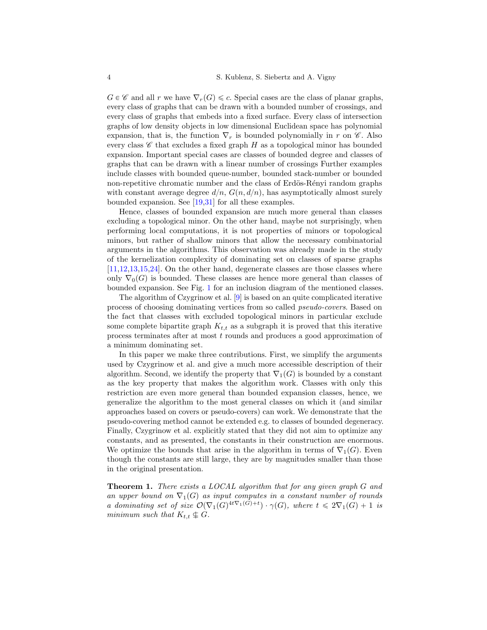$G \in \mathscr{C}$  and all r we have  $\nabla_r(G) \leq c$ . Special cases are the class of planar graphs, every class of graphs that can be drawn with a bounded number of crossings, and every class of graphs that embeds into a fixed surface. Every class of intersection graphs of low density objects in low dimensional Euclidean space has polynomial expansion, that is, the function  $\nabla_r$  is bounded polynomially in r on  $\mathscr{C}$ . Also every class  $\mathscr C$  that excludes a fixed graph  $H$  as a topological minor has bounded expansion. Important special cases are classes of bounded degree and classes of graphs that can be drawn with a linear number of crossings Further examples include classes with bounded queue-number, bounded stack-number or bounded non-repetitive chromatic number and the class of Erdös-Rényi random graphs with constant average degree  $d/n$ ,  $G(n, d/n)$ , has asymptotically almost surely bounded expansion. See [\[19,](#page-16-4)[31\]](#page-16-15) for all these examples.

Hence, classes of bounded expansion are much more general than classes excluding a topological minor. On the other hand, maybe not surprisingly, when performing local computations, it is not properties of minors or topological minors, but rather of shallow minors that allow the necessary combinatorial arguments in the algorithms. This observation was already made in the study of the kernelization complexity of dominating set on classes of sparse graphs [\[11,](#page-15-10)[12](#page-15-11)[,13,](#page-16-16)[15,](#page-16-17)[24\]](#page-16-18). On the other hand, degenerate classes are those classes where only  $\nabla_0(G)$  is bounded. These classes are hence more general than classes of bounded expansion. See Fig. [1](#page-2-0) for an inclusion diagram of the mentioned classes.

The algorithm of Czygrinow et al. [\[9\]](#page-15-9) is based on an quite complicated iterative process of choosing dominating vertices from so called pseudo-covers. Based on the fact that classes with excluded topological minors in particular exclude some complete bipartite graph  $K_{t,t}$  as a subgraph it is proved that this iterative process terminates after at most t rounds and produces a good approximation of a minimum dominating set.

In this paper we make three contributions. First, we simplify the arguments used by Czygrinow et al. and give a much more accessible description of their algorithm. Second, we identify the property that  $\nabla_1(G)$  is bounded by a constant as the key property that makes the algorithm work. Classes with only this restriction are even more general than bounded expansion classes, hence, we generalize the algorithm to the most general classes on which it (and similar approaches based on covers or pseudo-covers) can work. We demonstrate that the pseudo-covering method cannot be extended e.g. to classes of bounded degeneracy. Finally, Czygrinow et al. explicitly stated that they did not aim to optimize any constants, and as presented, the constants in their construction are enormous. We optimize the bounds that arise in the algorithm in terms of  $\nabla_1(G)$ . Even though the constants are still large, they are by magnitudes smaller than those in the original presentation.

**Theorem 1.** There exists a LOCAL algorithm that for any given graph G and an upper bound on  $\nabla_1(G)$  as input computes in a constant number of rounds a dominating set of size  $\mathcal{O}(\nabla_1(G)^{4t\nabla_1(G)+t}) \cdot \gamma(G)$ , where  $t \leq 2\nabla_1(G) + 1$  is minimum such that  $K_{t,t} \nightharpoonup G$ .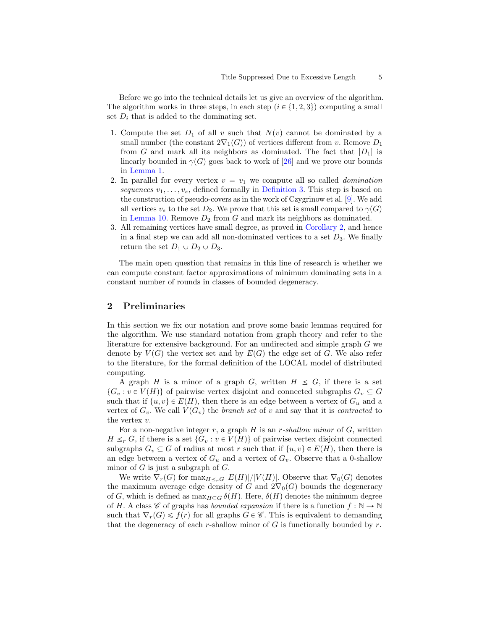Before we go into the technical details let us give an overview of the algorithm. The algorithm works in three steps, in each step  $(i \in \{1, 2, 3\})$  computing a small set  $D_i$  that is added to the dominating set.

- 1. Compute the set  $D_1$  of all v such that  $N(v)$  cannot be dominated by a small number (the constant  $2\nabla_1(G)$ ) of vertices different from v. Remove  $D_1$ from G and mark all its neighbors as dominated. The fact that  $|D_1|$  is linearly bounded in  $\gamma(G)$  goes back to work of [\[26\]](#page-16-12) and we prove our bounds in [Lemma 1.](#page-5-0)
- 2. In parallel for every vertex  $v = v_1$  we compute all so called *domination* sequences  $v_1, \ldots, v_s$ , defined formally in [Definition 3.](#page-10-0) This step is based on the construction of pseudo-covers as in the work of Czygrinow et al. [\[9\]](#page-15-9). We add all vertices  $v_s$  to the set  $D_2$ . We prove that this set is small compared to  $\gamma(G)$ in [Lemma 10.](#page-13-0) Remove  $D_2$  from  $G$  and mark its neighbors as dominated.
- 3. All remaining vertices have small degree, as proved in [Corollary 2,](#page-14-0) and hence in a final step we can add all non-dominated vertices to a set  $D_3$ . We finally return the set  $D_1 \cup D_2 \cup D_3$ .

The main open question that remains in this line of research is whether we can compute constant factor approximations of minimum dominating sets in a constant number of rounds in classes of bounded degeneracy.

## 2 Preliminaries

In this section we fix our notation and prove some basic lemmas required for the algorithm. We use standard notation from graph theory and refer to the literature for extensive background. For an undirected and simple graph G we denote by  $V(G)$  the vertex set and by  $E(G)$  the edge set of G. We also refer to the literature, for the formal definition of the LOCAL model of distributed computing.

A graph H is a minor of a graph G, written  $H \leq G$ , if there is a set  $\{G_v : v \in V(H)\}\$  of pairwise vertex disjoint and connected subgraphs  $G_v \subseteq G$ such that if  $\{u, v\} \in E(H)$ , then there is an edge between a vertex of  $G_u$  and a vertex of  $G_v$ . We call  $V(G_v)$  the *branch set* of v and say that it is *contracted* to the vertex v.

For a non-negative integer r, a graph  $H$  is an r-shallow minor of  $G$ , written  $H \leq_r G$ , if there is a set  $\{G_v : v \in V(H)\}$  of pairwise vertex disjoint connected subgraphs  $G_v \subseteq G$  of radius at most r such that if  $\{u, v\} \in E(H)$ , then there is an edge between a vertex of  $G_u$  and a vertex of  $G_v$ . Observe that a 0-shallow minor of  $G$  is just a subgraph of  $G$ .

We write  $\nabla_r(G)$  for  $\max_{H\leq r} |E(H)|/|V(H)|$ . Observe that  $\nabla_0(G)$  denotes the maximum average edge density of G and  $2\nabla_0(G)$  bounds the degeneracy of G, which is defined as  $\max_{H\subset G} \delta(H)$ . Here,  $\delta(H)$  denotes the minimum degree of H. A class  $\mathscr C$  of graphs has *bounded expansion* if there is a function  $f : \mathbb N \to \mathbb N$ such that  $\nabla_r(G) \leq f(r)$  for all graphs  $G \in \mathscr{C}$ . This is equivalent to demanding that the degeneracy of each r-shallow minor of  $G$  is functionally bounded by  $r$ .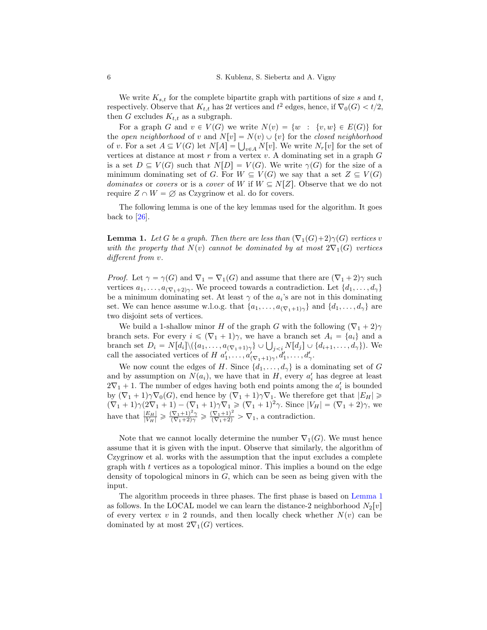We write  $K_{s,t}$  for the complete bipartite graph with partitions of size s and t, respectively. Observe that  $K_{t,t}$  has 2t vertices and  $t^2$  edges, hence, if  $\nabla_0(G) < t/2$ , then G excludes  $K_{t,t}$  as a subgraph.

For a graph G and  $v \in V(G)$  we write  $N(v) = \{w : \{v, w\} \in E(G)\}\)$  for the open neighborhood of v and  $N[v] = N(v) \cup \{v\}$  for the closed neighborhood the *open neighborhood* of v and  $N[v] = N(v) \cup \{v\}$  for the *closed neighborhood* of v. For a set  $A \subseteq V(G)$  let  $N[A] = \bigcup_{v \in A} N[v]$ . We write  $N_r[v]$  for the set of vertices at distance at most  $r$  from a vertex  $v$ . A dominating set in a graph  $G$ is a set  $D \subseteq V(G)$  such that  $N[D] = V(G)$ . We write  $\gamma(G)$  for the size of a minimum dominating set of G. For  $W \subseteq V(G)$  we say that a set  $Z \subseteq V(G)$ dominates or covers or is a cover of W if  $W \subseteq N[Z]$ . Observe that we do not require  $Z \cap W = \emptyset$  as Czygrinow et al. do for covers.

The following lemma is one of the key lemmas used for the algorithm. It goes back to  $[26]$ .

<span id="page-5-0"></span>**Lemma 1.** Let G be a graph. Then there are less than  $(\nabla_1(G)+2)\gamma(G)$  vertices v with the property that  $N(v)$  cannot be dominated by at most  $2\nabla_1(G)$  vertices different from  $v$ .

*Proof.* Let  $\gamma = \gamma(G)$  and  $\nabla_1 = \nabla_1(G)$  and assume that there are  $(\nabla_1 + 2)\gamma$  such vertices  $a_1, \ldots, a_{(\nabla_1 + 2)\gamma}$ . We proceed towards a contradiction. Let  $\{d_1, \ldots, d_\gamma\}$ be a minimum dominating set. At least  $\gamma$  of the  $a_i$ 's are not in this dominating set. We can hence assume w.l.o.g. that  $\{a_1, \ldots, a_{(\nabla_1+1)\gamma}\}\$  and  $\{d_1, \ldots, d_\gamma\}$  are two disjoint sets of vertices.

We build a 1-shallow minor H of the graph G with the following  $(\nabla_1 + 2)\gamma$ branch sets. For every  $i \leq (\nabla_1 + 1)\gamma$ , we have a branch set  $A_i = \{a_i\}$  and a branch sets. For every  $i \leqslant (V_1 + 1)\gamma$ , we have a branch set  $A_i = \{a_i\}$  and a branch set  $D_i = N[d_i] \setminus (\{a_1, \ldots, a_{(\nabla_1 + 1)\gamma}\} \cup \bigcup_{j \leq i} N[d_j] \cup \{d_{i+1}, \ldots, d_{\gamma}\})$ . We call the associated vertices of H  $a'_1, \ldots, a'_{(\nabla_1+1)\gamma}, d'_1, \ldots, d'_{\gamma}$ .

We now count the edges of H. Since  $\{d_1, \ldots, d_{\gamma}\}\)$  is a dominating set of G and by assumption on  $N(a_i)$ , we have that in H, every  $a'_i$  has degree at least  $2\nabla_1 + 1$ . The number of edges having both end points among the  $a'_i$  is bounded by  $(\nabla_1 + 1)\gamma \nabla_0(G)$ , end hence by  $(\nabla_1 + 1)\gamma \nabla_1$ . We therefore get that  $|E_H| \ge$  $(\nabla_1 + 1)\gamma(2\nabla_1 + 1) - (\nabla_1 + 1)\gamma\nabla_1 \ge (\nabla_1 + 1)^2\gamma$ . Since  $|V_H| = (\nabla_1 + 2)\gamma$ , we have that  $\frac{|E_H|}{|V_H|} \geq \frac{(\nabla_1 + 1)^2 \gamma}{(\nabla_1 + 2) \gamma} \geq \frac{(\nabla_1 + 1)^2}{(\nabla_1 + 2)} > \nabla_1$ , a contradiction.

Note that we cannot locally determine the number  $\nabla_1(G)$ . We must hence assume that it is given with the input. Observe that similarly, the algorithm of Czygrinow et al. works with the assumption that the input excludes a complete graph with  $t$  vertices as a topological minor. This implies a bound on the edge density of topological minors in  $G$ , which can be seen as being given with the input.

The algorithm proceeds in three phases. The first phase is based on [Lemma 1](#page-5-0) as follows. In the LOCAL model we can learn the distance-2 neighborhood  $N_2[v]$ of every vertex v in 2 rounds, and then locally check whether  $N(v)$  can be dominated by at most  $2\nabla_1(G)$  vertices.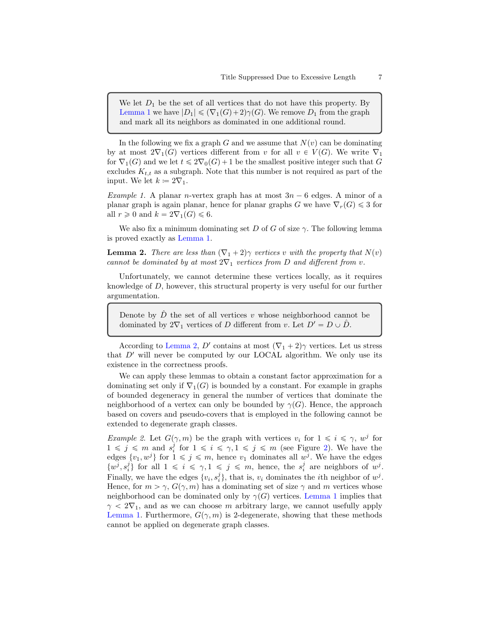We let  $D_1$  be the set of all vertices that do not have this property. By [Lemma 1](#page-5-0) we have  $|D_1| \leq (\nabla_1(G)+2)\gamma(G)$ . We remove  $D_1$  from the graph and mark all its neighbors as dominated in one additional round.

In the following we fix a graph G and we assume that  $N(v)$  can be dominating by at most  $2\nabla_1(G)$  vertices different from v for all  $v \in V(G)$ . We write  $\nabla_1$ for  $\nabla_1(G)$  and we let  $t \leq 2\nabla_0(G) + 1$  be the smallest positive integer such that G excludes  $K_{t,t}$  as a subgraph. Note that this number is not required as part of the input. We let  $k \coloneqq 2\nabla_1$ .

*Example 1.* A planar *n*-vertex graph has at most  $3n - 6$  edges. A minor of a planar graph is again planar, hence for planar graphs G we have  $\nabla_r(G) \leq 3$  for all  $r \geq 0$  and  $k = 2\nabla_1(G) \leq 6$ .

We also fix a minimum dominating set D of G of size  $\gamma$ . The following lemma is proved exactly as [Lemma 1.](#page-5-0)

<span id="page-6-0"></span>**Lemma 2.** There are less than  $(\nabla_1 + 2)\gamma$  vertices v with the property that  $N(v)$ cannot be dominated by at most  $2\nabla_1$  vertices from D and different from v.

Unfortunately, we cannot determine these vertices locally, as it requires knowledge of D, however, this structural property is very useful for our further argumentation.

Denote by  $\ddot{D}$  the set of all vertices v whose neighborhood cannot be dominated by  $2\nabla_1$  vertices of D different from v. Let  $D' = D \cup \hat{D}$ .

According to [Lemma 2,](#page-6-0) D' contains at most  $(\nabla_1 + 2)\gamma$  vertices. Let us stress that  $D'$  will never be computed by our LOCAL algorithm. We only use its existence in the correctness proofs.

We can apply these lemmas to obtain a constant factor approximation for a dominating set only if  $\nabla_1(G)$  is bounded by a constant. For example in graphs of bounded degeneracy in general the number of vertices that dominate the neighborhood of a vertex can only be bounded by  $\gamma(G)$ . Hence, the approach based on covers and pseudo-covers that is employed in the following cannot be extended to degenerate graph classes.

<span id="page-6-1"></span>*Example 2.* Let  $G(\gamma, m)$  be the graph with vertices  $v_i$  for  $1 \leq i \leq \gamma$ ,  $w^j$  for  $1 \leq j \leq m$  and  $s_i^j$  for  $1 \leq i \leq \gamma, 1 \leq j \leq m$  (see Figure [2\)](#page-6-1). We have the edges  $\{v_1, w^j\}$  for  $1 \leq j \leq m$ , hence  $v_1$  dominates all  $w^j$ . We have the edges  $\{w^j, s_i^j\}$  for all  $1 \leq i \leq \gamma, 1 \leq j \leq m$ , hence, the  $s_i^j$  are neighbors of  $w^j$ . Finally, we have the edges  $\{v_i, s_i^j\}$ , that is,  $v_i$  dominates the *i*th neighbor of  $w^j$ . Hence, for  $m > \gamma$ ,  $G(\gamma, m)$  has a dominating set of size  $\gamma$  and m vertices whose neighborhood can be dominated only by  $\gamma(G)$  vertices. [Lemma 1](#page-5-0) implies that  $\gamma < 2\nabla_1$ , and as we can choose m arbitrary large, we cannot usefully apply [Lemma 1.](#page-5-0) Furthermore,  $G(\gamma, m)$  is 2-degenerate, showing that these methods cannot be applied on degenerate graph classes.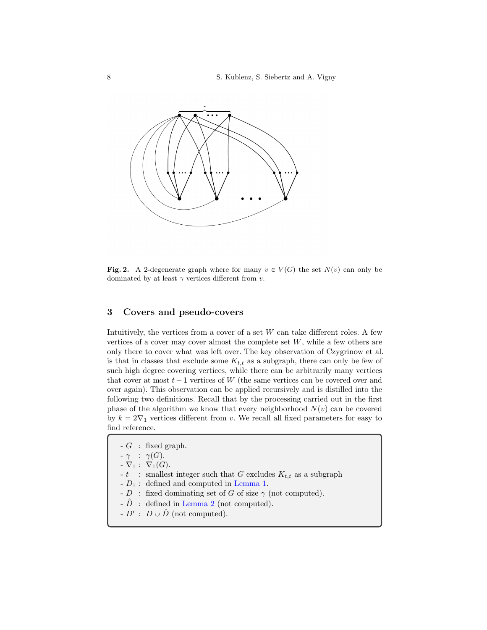8 S. Kublenz, S. Siebertz and A. Vigny



Fig. 2. A 2-degenerate graph where for many  $v \in V(G)$  the set  $N(v)$  can only be dominated by at least  $\gamma$  vertices different from v.

## 3 Covers and pseudo-covers

Intuitively, the vertices from a cover of a set  $W$  can take different roles. A few vertices of a cover may cover almost the complete set  $W$ , while a few others are only there to cover what was left over. The key observation of Czygrinow et al. is that in classes that exclude some  $K_{t,t}$  as a subgraph, there can only be few of such high degree covering vertices, while there can be arbitrarily many vertices that cover at most  $t - 1$  vertices of W (the same vertices can be covered over and over again). This observation can be applied recursively and is distilled into the following two definitions. Recall that by the processing carried out in the first phase of the algorithm we know that every neighborhood  $N(v)$  can be covered by  $k = 2\nabla_1$  vertices different from v. We recall all fixed parameters for easy to find reference.

 $-G$  : fixed graph.

 $-\gamma$  :  $\gamma(G)$ .

 $\overline{\nabla}_1$ :  $\nabla_1(G)$ .

 $-t$  : smallest integer such that G excludes  $K_{t,t}$  as a subgraph

- $\mathcal{D}_1$  : defined and computed in [Lemma 1.](#page-5-0)
- $\overrightarrow{D}$  : fixed dominating set of G of size  $\gamma$  (not computed).
- $\hat{D}$  : defined in [Lemma 2](#page-6-0) (not computed).
- $D'$ :  $D \cup \hat{D}$  (not computed).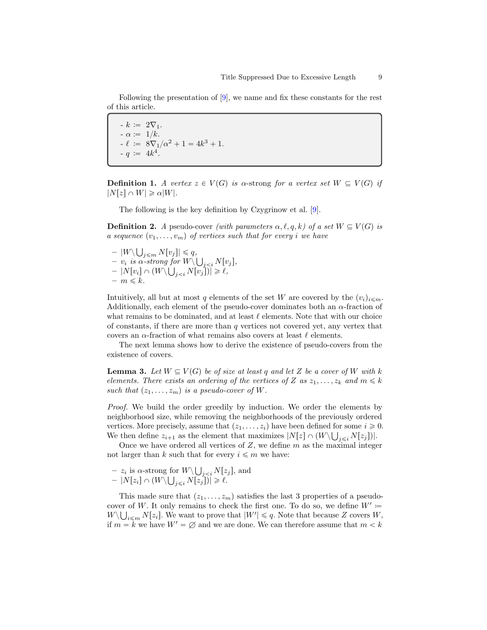Following the presentation of [\[9\]](#page-15-9), we name and fix these constants for the rest of this article.

 $-k \coloneqq 2\nabla_1.$  $-\alpha := 1/k.$  $-k := 8\nabla_1/\alpha^2 + 1 = 4k^3 + 1.$  $-q := 4k^4.$ 

**Definition 1.** A vertex  $z \in V(G)$  is  $\alpha$ -strong for a vertex set  $W \subseteq V(G)$  if  $|N[z] \cap W| \geq \alpha |W|.$ 

The following is the key definition by Czygrinow et al. [\[9\]](#page-15-9).

**Definition 2.** A pseudo-cover (with parameters  $\alpha, \ell, q, k$ ) of a set  $W \subseteq V(G)$  is a sequence  $(v_1, \ldots, v_m)$  of vertices such that for every i we have

–  $|W\setminus$  $_{j\leqslant m} N[v_j]|\leqslant q,$  $v_i$  is  $\alpha$ -strong for  $W\backslash$ Ť  $_{j N[v<sub>j</sub>],$  $-\left\vert N[v_{i}]\cap (W\backslash$  $f$  $\epsilon$  $_{j$  $- m \leq k$ .

Intuitively, all but at most q elements of the set W are covered by the  $(v_i)_{i \leq m}$ . Additionally, each element of the pseudo-cover dominates both an  $\alpha$ -fraction of what remains to be dominated, and at least  $\ell$  elements. Note that with our choice of constants, if there are more than  $q$  vertices not covered yet, any vertex that covers an  $\alpha$ -fraction of what remains also covers at least  $\ell$  elements.

The next lemma shows how to derive the existence of pseudo-covers from the existence of covers.

<span id="page-8-0"></span>**Lemma 3.** Let  $W \subseteq V(G)$  be of size at least q and let Z be a cover of W with k elements. There exists an ordering of the vertices of Z as  $z_1, \ldots, z_k$  and  $m \leq k$ such that  $(z_1, \ldots, z_m)$  is a pseudo-cover of W.

Proof. We build the order greedily by induction. We order the elements by neighborhood size, while removing the neighborhoods of the previously ordered vertices. More precisely, assume that  $(z_1, \ldots, z_i)$  have been defined for some  $i \ge 0$ . We then define  $z_{i+1}$  as the element that maximizes  $|N[z] \cap (W \setminus \bigcup_{j \leq i} N[z_j])|$ .

Once we have ordered all vertices of  $Z$ , we define  $m$  as the maximal integer not larger than k such that for every  $i \leq m$  we have:

 $- z_i$  is  $\alpha$ -strong for  $W \setminus$  $_{j N[ $z_j$ ], and$  $-\left\vert N\left[ z_{i}\right] \cap\left( W\right\vert \right.$ Ť  $_{j\leqslant i} N[z_j])| \geqslant \ell.$ 

This made sure that  $(z_1, \ldots, z_m)$  satisfies the last 3 properties of a pseudocover of W. It only remains to check the first one. To do so, we define  $W' \coloneqq$  $W \setminus \bigcup_{i \leq m} N[z_i]$ . We want to prove that  $|W'| \leq q$ . Note that because Z covers W, if  $m = k$  we have  $W' = \emptyset$  and we are done. We can therefore assume that  $m < k$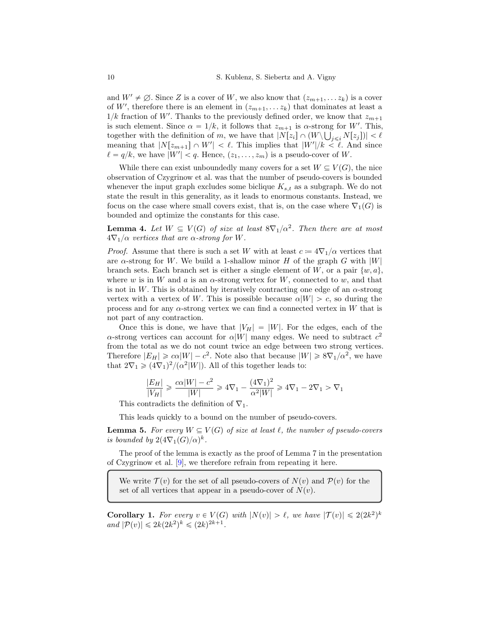and  $W' \neq \emptyset$ . Since Z is a cover of W, we also know that  $(z_{m+1}, \ldots z_k)$  is a cover of W', therefore there is an element in  $(z_{m+1}, \ldots z_k)$  that dominates at least a  $1/k$  fraction of  $W^\prime.$  Thanks to the previously defined order, we know that  $z_{m+1}$ is such element. Since  $\alpha = 1/k$ , it follows that  $z_{m+1}$  is  $\alpha$ -strong for W'. This, together with the definition of m, we have that  $|N[z_i] \cap (W \setminus \bigcup_{j \leq i} N[z_j])| < \ell$ meaning that  $|N[z_{m+1}] \cap W'| < \ell$ . This implies that  $|W'|/k < \ell$ . And since  $\ell = q/k$ , we have  $|W'| < q$ . Hence,  $(z_1, \ldots, z_m)$  is a pseudo-cover of W.

While there can exist unboundedly many covers for a set  $W \subseteq V(G)$ , the nice observation of Czygrinow et al. was that the number of pseudo-covers is bounded whenever the input graph excludes some biclique  $K_{s,t}$  as a subgraph. We do not state the result in this generality, as it leads to enormous constants. Instead, we focus on the case where small covers exist, that is, on the case where  $\nabla_1(G)$  is bounded and optimize the constants for this case.

**Lemma 4.** Let  $W \subseteq V(G)$  of size at least  $8\nabla_1/\alpha^2$ . Then there are at most  $4\nabla_1/\alpha$  vertices that are  $\alpha$ -strong for W.

*Proof.* Assume that there is such a set W with at least  $c = 4\nabla_1/\alpha$  vertices that are  $\alpha$ -strong for W. We build a 1-shallow minor H of the graph G with  $|W|$ branch sets. Each branch set is either a single element of W, or a pair  $\{w, a\}$ . where w is in W and a is an  $\alpha$ -strong vertex for W, connected to w, and that is not in W. This is obtained by iteratively contracting one edge of an  $\alpha$ -strong vertex with a vertex of W. This is possible because  $\alpha|W| > c$ , so during the process and for any  $\alpha$ -strong vertex we can find a connected vertex in W that is not part of any contraction.

Once this is done, we have that  $|V_H| = |W|$ . For the edges, each of the  $\alpha$ -strong vertices can account for  $\alpha|W|$  many edges. We need to subtract  $c^2$ from the total as we do not count twice an edge between two strong vertices. Therefore  $|E_H| \geqslant c\alpha |W| - c^2$ . Note also that because  $|W| \geqslant 8\nabla_1/\alpha^2$ , we have that  $2\nabla_1 \geq (4\nabla_1)^2/(\alpha^2|W|)$ . All of this together leads to:

$$
\frac{|E_H|}{|V_H|} \ge \frac{c\alpha|W| - c^2}{|W|} \ge 4\nabla_1 - \frac{(4\nabla_1)^2}{\alpha^2|W|} \ge 4\nabla_1 - 2\nabla_1 > \nabla_1
$$

This contradicts the definition of  $\nabla_1$ .

This leads quickly to a bound on the number of pseudo-covers.

**Lemma 5.** For every  $W \subseteq V(G)$  of size at least  $\ell$ , the number of pseudo-covers is bounded by  $2(4\nabla_1(G)/\alpha)^k$ .

The proof of the lemma is exactly as the proof of Lemma 7 in the presentation of Czygrinow et al. [\[9\]](#page-15-9), we therefore refrain from repeating it here.

We write  $\mathcal{T}(v)$  for the set of all pseudo-covers of  $N(v)$  and  $\mathcal{P}(v)$  for the set of all vertices that appear in a pseudo-cover of  $N(v)$ .

<span id="page-9-0"></span>**Corollary 1.** For every  $v \in V(G)$  with  $|N(v)| > \ell$ , we have  $|\mathcal{T}(v)| \leq 2(2k^2)^k$ and  $|\mathcal{P}(v)| \leq 2k(2k^2)^k \leq (2k)^{2k+1}$ .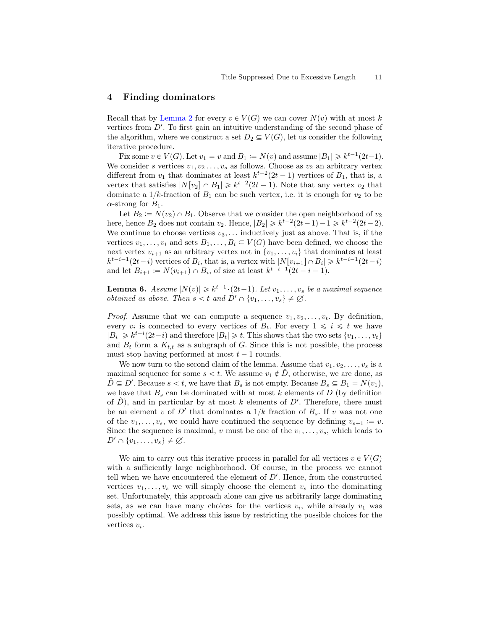## 4 Finding dominators

Recall that by [Lemma 2](#page-6-0) for every  $v \in V(G)$  we can cover  $N(v)$  with at most k vertices from  $D'$ . To first gain an intuitive understanding of the second phase of the algorithm, where we construct a set  $D_2 \subseteq V(G)$ , let us consider the following iterative procedure.

Fix some  $v \in V(G)$ . Let  $v_1 = v$  and  $B_1 := N(v)$  and assume  $|B_1| \geq k^{t-1}(2t-1)$ . We consider s vertices  $v_1, v_2, \ldots, v_s$  as follows. Choose as  $v_2$  an arbitrary vertex different from  $v_1$  that dominates at least  $k^{t-2}(2t-1)$  vertices of  $B_1$ , that is, a vertex that satisfies  $|N[v_2] \cap B_1| \geq k^{t-2}(2t-1)$ . Note that any vertex  $v_2$  that dominate a  $1/k$ -fraction of  $B_1$  can be such vertex, i.e. it is enough for  $v_2$  to be  $\alpha$ -strong for  $B_1$ .

Let  $B_2 \coloneqq N(v_2) \cap B_1$ . Observe that we consider the open neighborhood of  $v_2$ here, hence  $B_2$  does not contain  $v_2$ . Hence,  $|B_2| \geq k^{t-2}(2t-1) - 1 \geq k^{t-2}(2t-2)$ . We continue to choose vertices  $v_3, \ldots$  inductively just as above. That is, if the vertices  $v_1, \ldots, v_i$  and sets  $B_1, \ldots, B_i \subseteq V(G)$  have been defined, we choose the next vertex  $v_{i+1}$  as an arbitrary vertex not in  $\{v_1, \ldots, v_i\}$  that dominates at least  $k^{t-i-1}(2t-i)$  vertices of  $B_i$ , that is, a vertex with  $|N[v_{i+1}] \cap B_i| \geq k^{t-i-1}(2t-i)$ and let  $B_{i+1} := N(v_{i+1}) \cap B_i$ , of size at least  $k^{t-i-1}(2t - i - 1)$ .

<span id="page-10-1"></span>**Lemma 6.** Assume  $|N(v)| \geq k^{t-1} \cdot (2t-1)$ . Let  $v_1, \ldots, v_s$  be a maximal sequence *obtained as above. Then*  $s < t$  *and*  $D' \cap \{v_1, \ldots, v_s\} \neq \emptyset$ .

*Proof.* Assume that we can compute a sequence  $v_1, v_2, \ldots, v_t$ . By definition, every  $v_i$  is connected to every vertices of  $B_t$ . For every  $1 \leq i \leq t$  we have  $|B_i| \geq k^{t-i}(2t-i)$  and therefore  $|B_t| \geq t$ . This shows that the two sets  $\{v_1, \ldots, v_t\}$ and  $B_t$  form a  $K_{t,t}$  as a subgraph of G. Since this is not possible, the process must stop having performed at most  $t - 1$  rounds.

We now turn to the second claim of the lemma. Assume that  $v_1, v_2, \ldots, v_s$  is a maximal sequence for some  $s < t$ . We assume  $v_1 \notin D$ , otherwise, we are done, as  $\hat{D} \subseteq D'$ . Because  $s < t$ , we have that  $B_s$  is not empty. Because  $B_s \subseteq B_1 = N(v_1)$ , we have that  $B_s$  can be dominated with at most k elements of D (by definition of  $\hat{D}$ ), and in particular by at most k elements of D'. Therefore, there must be an element v of  $D'$  that dominates a  $1/k$  fraction of  $B_s$ . If v was not one of the  $v_1, \ldots, v_s$ , we could have continued the sequence by defining  $v_{s+1} := v$ . Since the sequence is maximal, v must be one of the  $v_1, \ldots, v_s$ , which leads to  $D' \cap \{v_1, \ldots, v_s\} \neq \emptyset$ .

<span id="page-10-0"></span>We aim to carry out this iterative process in parallel for all vertices  $v \in V(G)$ with a sufficiently large neighborhood. Of course, in the process we cannot tell when we have encountered the element of  $D'$ . Hence, from the constructed vertices  $v_1, \ldots, v_s$  we will simply choose the element  $v_s$  into the dominating set. Unfortunately, this approach alone can give us arbitrarily large dominating sets, as we can have many choices for the vertices  $v_i$ , while already  $v_1$  was possibly optimal. We address this issue by restricting the possible choices for the vertices  $v_i$ .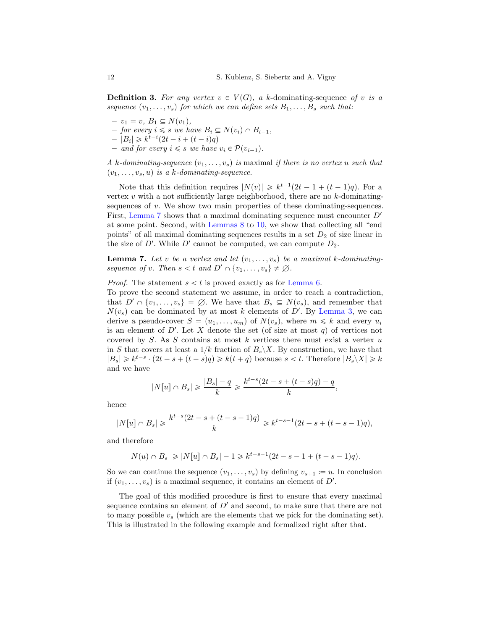**Definition 3.** For any vertex  $v \in V(G)$ , a k-dominating-sequence of v is a sequence  $(v_1, \ldots, v_s)$  for which we can define sets  $B_1, \ldots, B_s$  such that:

- $-v_1 = v, B_1 \subseteq N(v_1),$
- for every  $i \leq s$  we have  $B_i \subseteq N(v_i) \cap B_{i-1}$ ,
- $-|B_i| \geq k^{t-i}(2t i + (t i)q)$
- and for every  $i \leq s$  we have  $v_i \in \mathcal{P}(v_{i-1})$ .

A k-dominating-sequence  $(v_1, \ldots, v_s)$  is maximal if there is no vertex u such that  $(v_1, \ldots, v_s, u)$  is a k-dominating-sequence.

Note that this definition requires  $|N(v)| \geq k^{t-1}(2t - 1 + (t-1)q)$ . For a vertex  $v$  with a not sufficiently large neighborhood, there are no  $k$ -dominatingsequences of  $v$ . We show two main properties of these dominating-sequences. First, [Lemma 7](#page-11-0) shows that a maximal dominating sequence must encounter  $D'$ at some point. Second, with [Lemmas 8](#page-12-0) to [10,](#page-13-0) we show that collecting all "end points" of all maximal dominating sequences results in a set  $D_2$  of size linear in the size of  $D'$ . While  $D'$  cannot be computed, we can compute  $D_2$ .

<span id="page-11-0"></span>**Lemma 7.** Let v be a vertex and let  $(v_1, \ldots, v_s)$  be a maximal k-dominatingsequence of v. Then  $s < t$  and  $D' \cap \{v_1, \ldots, v_s\} \neq \emptyset$ .

#### *Proof.* The statement  $s < t$  is proved exactly as for [Lemma 6.](#page-10-1)

To prove the second statement we assume, in order to reach a contradiction, that  $D' \cap \{v_1, \ldots, v_s\} = \emptyset$ . We have that  $B_s \subseteq N(v_s)$ , and remember that  $N(v<sub>s</sub>)$  can be dominated by at most k elements of D'. By [Lemma 3,](#page-8-0) we can derive a pseudo-cover  $S = (u_1, \ldots, u_m)$  of  $N(v_s)$ , where  $m \leq k$  and every  $u_i$ is an element of  $D'$ . Let X denote the set (of size at most q) of vertices not covered by  $S$ . As  $S$  contains at most  $k$  vertices there must exist a vertex  $u$ in S that covers at least a  $1/k$  fraction of  $B_s \ X$ . By construction, we have that  $|B_s| \geq k^{t-s} \cdot (2t - s + (t - s)q) \geq k(t + q)$  because  $s < t$ . Therefore  $|B_s \setminus X| \geq k$ and we have

$$
|N[u] \cap B_s| \geqslant \frac{|B_s| - q}{k} \geqslant \frac{k^{t-s}(2t - s + (t - s)q) - q}{k},
$$

hence

$$
|N[u]\cap B_s|\geqslant \frac{k^{t-s}(2t-s+(t-s-1)q)}{k}\geqslant k^{t-s-1}(2t-s+(t-s-1)q),
$$

and therefore

$$
|N(u) \cap B_s| \geq |N[u] \cap B_s| - 1 \geq k^{t-s-1}(2t - s - 1 + (t - s - 1)q).
$$

So we can continue the sequence  $(v_1, \ldots, v_s)$  by defining  $v_{s+1} := u$ . In conclusion if  $(v_1, \ldots, v_s)$  is a maximal sequence, it contains an element of  $D'$ .

<span id="page-11-1"></span>The goal of this modified procedure is first to ensure that every maximal sequence contains an element of  $D'$  and second, to make sure that there are not to many possible  $v_s$  (which are the elements that we pick for the dominating set). This is illustrated in the following example and formalized right after that.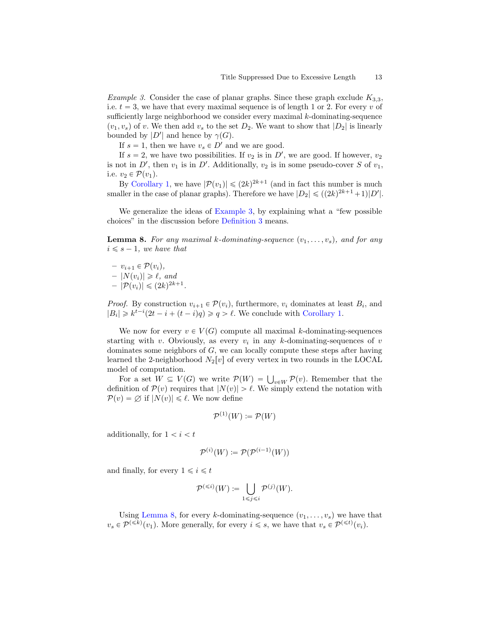*Example 3.* Consider the case of planar graphs. Since these graph exclude  $K_{3,3}$ , i.e.  $t = 3$ , we have that every maximal sequence is of length 1 or 2. For every v of sufficiently large neighborhood we consider every maximal  $k$ -dominating-sequence  $(v_1, v_s)$  of v. We then add  $v_s$  to the set  $D_2$ . We want to show that  $|D_2|$  is linearly bounded by  $|D'|$  and hence by  $\gamma(G)$ .

If  $s = 1$ , then we have  $v_s \in D'$  and we are good.

If  $s = 2$ , we have two possibilities. If  $v_2$  is in  $D'$ , we are good. If however,  $v_2$ is not in D', then  $v_1$  is in D'. Additionally,  $v_2$  is in some pseudo-cover S of  $v_1$ , i.e.  $v_2 \in \mathcal{P}(v_1)$ .

By [Corollary 1,](#page-9-0) we have  $|\mathcal{P}(v_1)| \leq (2k)^{2k+1}$  (and in fact this number is much smaller in the case of planar graphs). Therefore we have  $|D_2| \leq (2k)^{2k+1}+1|D'|$ .

We generalize the ideas of [Example 3,](#page-11-1) by explaining what a "few possible choices" in the discussion before [Definition 3](#page-10-0) means.

<span id="page-12-0"></span>**Lemma 8.** For any maximal k-dominating-sequence  $(v_1, \ldots, v_s)$ , and for any  $i \leq s - 1$ , we have that

 $- v_{i+1} \in \mathcal{P}(v_i),$  $-|N(v_i)| \geq \ell$ , and  $-|\mathcal{P}(v_i)| \leqslant (2k)^{2k+1}.$ 

*Proof.* By construction  $v_{i+1} \in \mathcal{P}(v_i)$ , furthermore,  $v_i$  dominates at least  $B_i$ , and  $|B_i| \geq k^{t-i}(2t-i+(t-i)q) \geq q > \ell$ . We conclude with [Corollary 1.](#page-9-0)

We now for every  $v \in V(G)$  compute all maximal k-dominating-sequences starting with v. Obviously, as every  $v_i$  in any k-dominating-sequences of v dominates some neighbors of G, we can locally compute these steps after having learned the 2-neighborhood  $N_2[v]$  of every vertex in two rounds in the LOCAL model of computation.

del of computation.<br>For a set  $W \subseteq V(G)$  we write  $\mathcal{P}(W) = \bigcup_{v \in W} \mathcal{P}(v)$ . Remember that the definition of  $\mathcal{P}(v)$  requires that  $|N(v)| > \ell$ . We simply extend the notation with  $\mathcal{P}(v) = \emptyset$  if  $|N(v)| \leq \ell$ . We now define

$$
\mathcal{P}^{(1)}(W) \coloneqq \mathcal{P}(W)
$$

additionally, for  $1 < i < t$ 

$$
\mathcal{P}^{(i)}(W) \coloneqq \mathcal{P}(\mathcal{P}^{(i-1)}(W))
$$

and finally, for every  $1 \leq i \leq t$ 

$$
\mathcal{P}^{(\leq i)}(W) \coloneqq \bigcup_{1 \leq j \leq i} \mathcal{P}^{(j)}(W).
$$

Using [Lemma 8,](#page-12-0) for every k-dominating-sequence  $(v_1, \ldots, v_s)$  we have that  $v_s \in \mathcal{P}^{(\leq k)}(v_1)$ . More generally, for every  $i \leq s$ , we have that  $v_s \in \mathcal{P}^{(\leq t)}(v_i)$ .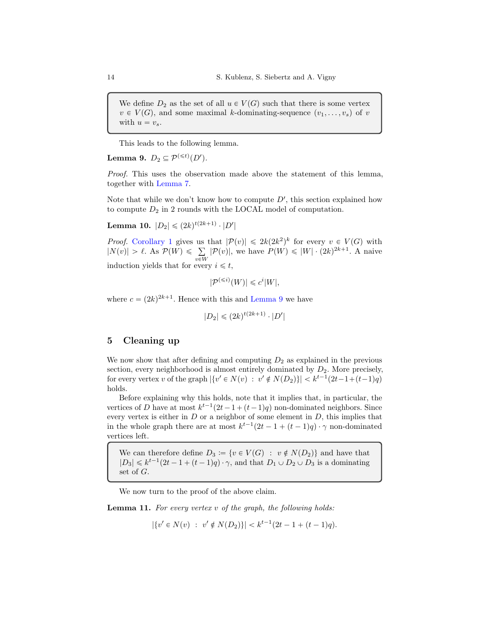We define  $D_2$  as the set of all  $u \in V(G)$  such that there is some vertex  $v \in V(G)$ , and some maximal k-dominating-sequence  $(v_1, \ldots, v_s)$  of v with  $u = v_s$ .

<span id="page-13-1"></span>This leads to the following lemma.

Lemma 9.  $D_2 \subseteq \mathcal{P}^{(\leq t)}(D').$ 

Proof. This uses the observation made above the statement of this lemma, together with [Lemma 7.](#page-11-0)

Note that while we don't know how to compute  $D'$ , this section explained how to compute  $D_2$  in 2 rounds with the LOCAL model of computation.

<span id="page-13-0"></span>Lemma 10.  $|D_2| \leqslant (2k)^{t(2k+1)} \cdot |D'|$ 

*Proof.* [Corollary 1](#page-9-0) gives us that  $|\mathcal{P}(v)| \leq 2k(2k^2)^k$  for every  $v \in V(G)$  with  $|N(v)| > \ell$ . As  $\mathcal{P}(W) \leq \sum_{v \in W} |\mathcal{P}(v)|$ , we have  $P(W) \leq |W| \cdot (2k)^{2k+1}$ . A naive induction yields that for every  $i \leq t$ ,

$$
|\mathcal{P}^{(\leq i)}(W)| \leq c^i|W|,
$$

where  $c = (2k)^{2k+1}$ . Hence with this and [Lemma 9](#page-13-1) we have

$$
|D_2| \leq (2k)^{t(2k+1)} \cdot |D'|
$$

# 5 Cleaning up

We now show that after defining and computing  $D_2$  as explained in the previous section, every neighborhood is almost entirely dominated by  $D_2$ . More precisely, for every vertex v of the graph  $|\{v' \in N(v) : v' \notin N(D_2)\}| < k^{t-1}(2t-1+(t-1)q)$ holds.

Before explaining why this holds, note that it implies that, in particular, the vertices of D have at most  $k^{t-1}(2t-1+(t-1)q)$  non-dominated neighbors. Since every vertex is either in  $D$  or a neighbor of some element in  $D$ , this implies that in the whole graph there are at most  $k^{t-1}(2t-1+(t-1)q) \cdot \gamma$  non-dominated vertices left.

We can therefore define  $D_3 := \{v \in V(G) : v \notin N(D_2)\}\)$  and have that  $|D_3| \leq k^{t-1}(2t-1+(t-1)q) \cdot \gamma$ , and that  $D_1 \cup D_2 \cup D_3$  is a dominating set of G.

We now turn to the proof of the above claim.

**Lemma 11.** For every vertex  $v$  of the graph, the following holds:

 $|\{v' \in N(v) : v' \notin N(D_2)\}| < k^{t-1}(2t - 1 + (t-1)q).$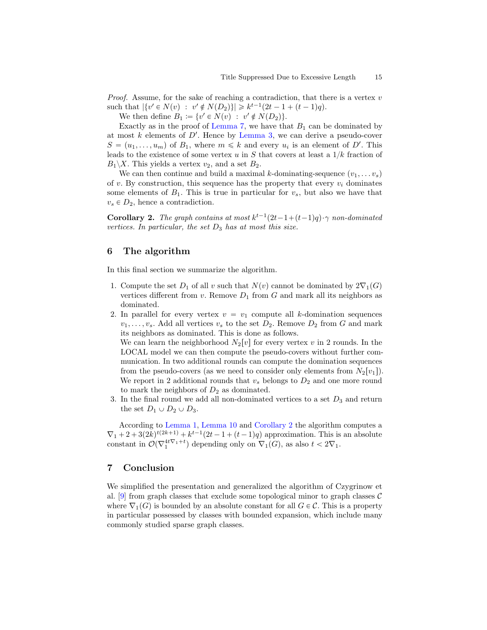*Proof.* Assume, for the sake of reaching a contradiction, that there is a vertex  $v$ such that  $|\{v' \in N(v) : v' \notin N(D_2)\}| \geq k^{t-1}(2t - 1 + (t-1)q).$ 

We then define  $B_1 \coloneqq \{v' \in N(v) : v' \notin N(D_2)\}.$ 

Exactly as in the proof of [Lemma 7,](#page-11-0) we have that  $B_1$  can be dominated by at most  $k$  elements of  $D'$ . Hence by [Lemma 3,](#page-8-0) we can derive a pseudo-cover  $S = (u_1, \ldots, u_m)$  of  $B_1$ , where  $m \leq k$  and every  $u_i$  is an element of D'. This leads to the existence of some vertex u in S that covers at least a  $1/k$  fraction of  $B_1 \backslash X$ . This yields a vertex  $v_2$ , and a set  $B_2$ .

We can then continue and build a maximal k-dominating-sequence  $(v_1, \ldots v_s)$ of v. By construction, this sequence has the property that every  $v_i$  dominates some elements of  $B_1$ . This is true in particular for  $v_s$ , but also we have that  $v_s \in D_2$ , hence a contradiction.

<span id="page-14-0"></span>**Corollary 2.** The graph contains at most  $k^{t-1}(2t-1+(t-1)q) \cdot \gamma$  non-dominated vertices. In particular, the set  $D_3$  has at most this size.

## 6 The algorithm

In this final section we summarize the algorithm.

- 1. Compute the set  $D_1$  of all v such that  $N(v)$  cannot be dominated by  $2\nabla_1(G)$ vertices different from v. Remove  $D_1$  from G and mark all its neighbors as dominated.
- 2. In parallel for every vertex  $v = v_1$  compute all k-domination sequences  $v_1, \ldots, v_s$ . Add all vertices  $v_s$  to the set  $D_2$ . Remove  $D_2$  from G and mark its neighbors as dominated. This is done as follows. We can learn the neighborhood  $N_2[v]$  for every vertex v in 2 rounds. In the LOCAL model we can then compute the pseudo-covers without further communication. In two additional rounds can compute the domination sequences from the pseudo-covers (as we need to consider only elements from  $N_2[v_1]$ ). We report in 2 additional rounds that  $v_s$  belongs to  $D_2$  and one more round to mark the neighbors of  $D_2$  as dominated.
- 3. In the final round we add all non-dominated vertices to a set  $D_3$  and return the set  $D_1 \cup D_2 \cup D_3$ .

According to [Lemma 1,](#page-5-0) [Lemma 10](#page-13-0) and [Corollary 2](#page-14-0) the algorithm computes a  $\nabla_1 + 2 + 3(2k)^{t(2k+1)} + k^{t-1}(2t-1+(t-1)q)$  approximation. This is an absolute constant in  $\mathcal{O}(\nabla_1^{4t\nabla_1+t})$  depending only on  $\nabla_1(G)$ , as also  $t < 2\nabla_1$ .

# 7 Conclusion

We simplified the presentation and generalized the algorithm of Czygrinow et al. [\[9\]](#page-15-9) from graph classes that exclude some topological minor to graph classes  $\mathcal C$ where  $\nabla_1(G)$  is bounded by an absolute constant for all  $G \in \mathcal{C}$ . This is a property in particular possessed by classes with bounded expansion, which include many commonly studied sparse graph classes.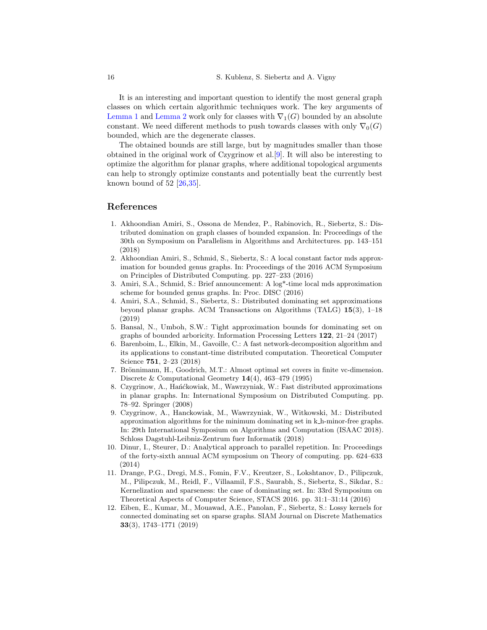It is an interesting and important question to identify the most general graph classes on which certain algorithmic techniques work. The key arguments of [Lemma 1](#page-5-0) and [Lemma 2](#page-6-0) work only for classes with  $\nabla_1(G)$  bounded by an absolute constant. We need different methods to push towards classes with only  $\nabla_0(G)$ bounded, which are the degenerate classes.

The obtained bounds are still large, but by magnitudes smaller than those obtained in the original work of Czygrinow et al.[\[9\]](#page-15-9). It will also be interesting to optimize the algorithm for planar graphs, where additional topological arguments can help to strongly optimize constants and potentially beat the currently best known bound of  $52$   $[26,35]$  $[26,35]$ .

## References

- <span id="page-15-4"></span>1. Akhoondian Amiri, S., Ossona de Mendez, P., Rabinovich, R., Siebertz, S.: Distributed domination on graph classes of bounded expansion. In: Proceedings of the 30th on Symposium on Parallelism in Algorithms and Architectures. pp. 143–151 (2018)
- <span id="page-15-6"></span>2. Akhoondian Amiri, S., Schmid, S., Siebertz, S.: A local constant factor mds approximation for bounded genus graphs. In: Proceedings of the 2016 ACM Symposium on Principles of Distributed Computing. pp. 227–233 (2016)
- <span id="page-15-7"></span>3. Amiri, S.A., Schmid, S.: Brief announcement: A log\*-time local mds approximation scheme for bounded genus graphs. In: Proc. DISC (2016)
- <span id="page-15-8"></span>4. Amiri, S.A., Schmid, S., Siebertz, S.: Distributed dominating set approximations beyond planar graphs. ACM Transactions on Algorithms (TALG) 15(3), 1–18 (2019)
- <span id="page-15-1"></span>5. Bansal, N., Umboh, S.W.: Tight approximation bounds for dominating set on graphs of bounded arboricity. Information Processing Letters 122, 21–24 (2017)
- <span id="page-15-3"></span>6. Barenboim, L., Elkin, M., Gavoille, C.: A fast network-decomposition algorithm and its applications to constant-time distributed computation. Theoretical Computer Science 751, 2–23 (2018)
- <span id="page-15-2"></span>7. Brönnimann, H., Goodrich, M.T.: Almost optimal set covers in finite vc-dimension. Discrete & Computational Geometry 14(4), 463–479 (1995)
- <span id="page-15-5"></span>8. Czygrinow, A., Hańćkowiak, M., Wawrzyniak, W.: Fast distributed approximations in planar graphs. In: International Symposium on Distributed Computing. pp. 78–92. Springer (2008)
- <span id="page-15-9"></span>9. Czygrinow, A., Hanckowiak, M., Wawrzyniak, W., Witkowski, M.: Distributed approximation algorithms for the minimum dominating set in k h-minor-free graphs. In: 29th International Symposium on Algorithms and Computation (ISAAC 2018). Schloss Dagstuhl-Leibniz-Zentrum fuer Informatik (2018)
- <span id="page-15-0"></span>10. Dinur, I., Steurer, D.: Analytical approach to parallel repetition. In: Proceedings of the forty-sixth annual ACM symposium on Theory of computing. pp. 624–633 (2014)
- <span id="page-15-10"></span>11. Drange, P.G., Dregi, M.S., Fomin, F.V., Kreutzer, S., Lokshtanov, D., Pilipczuk, M., Pilipczuk, M., Reidl, F., Villaamil, F.S., Saurabh, S., Siebertz, S., Sikdar, S.: Kernelization and sparseness: the case of dominating set. In: 33rd Symposium on Theoretical Aspects of Computer Science, STACS 2016. pp. 31:1–31:14 (2016)
- <span id="page-15-11"></span>12. Eiben, E., Kumar, M., Mouawad, A.E., Panolan, F., Siebertz, S.: Lossy kernels for connected dominating set on sparse graphs. SIAM Journal on Discrete Mathematics 33(3), 1743–1771 (2019)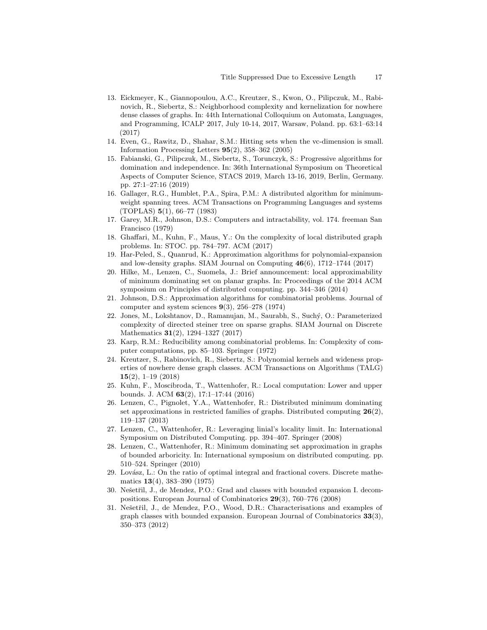- <span id="page-16-16"></span>13. Eickmeyer, K., Giannopoulou, A.C., Kreutzer, S., Kwon, O., Pilipczuk, M., Rabinovich, R., Siebertz, S.: Neighborhood complexity and kernelization for nowhere dense classes of graphs. In: 44th International Colloquium on Automata, Languages, and Programming, ICALP 2017, July 10-14, 2017, Warsaw, Poland. pp. 63:1–63:14 (2017)
- <span id="page-16-6"></span>14. Even, G., Rawitz, D., Shahar, S.M.: Hitting sets when the vc-dimension is small. Information Processing Letters 95(2), 358–362 (2005)
- <span id="page-16-17"></span>15. Fabianski, G., Pilipczuk, M., Siebertz, S., Torunczyk, S.: Progressive algorithms for domination and independence. In: 36th International Symposium on Theoretical Aspects of Computer Science, STACS 2019, March 13-16, 2019, Berlin, Germany. pp. 27:1–27:16 (2019)
- <span id="page-16-8"></span>16. Gallager, R.G., Humblet, P.A., Spira, P.M.: A distributed algorithm for minimumweight spanning trees. ACM Transactions on Programming Languages and systems (TOPLAS) 5(1), 66–77 (1983)
- <span id="page-16-1"></span>17. Garey, M.R., Johnson, D.S.: Computers and intractability, vol. 174. freeman San Francisco (1979)
- <span id="page-16-10"></span>18. Ghaffari, M., Kuhn, F., Maus, Y.: On the complexity of local distributed graph problems. In: STOC. pp. 784–797. ACM (2017)
- <span id="page-16-4"></span>19. Har-Peled, S., Quanrud, K.: Approximation algorithms for polynomial-expansion and low-density graphs. SIAM Journal on Computing 46(6), 1712–1744 (2017)
- <span id="page-16-13"></span>20. Hilke, M., Lenzen, C., Suomela, J.: Brief announcement: local approximability of minimum dominating set on planar graphs. In: Proceedings of the 2014 ACM symposium on Principles of distributed computing. pp. 344–346 (2014)
- <span id="page-16-2"></span>21. Johnson, D.S.: Approximation algorithms for combinatorial problems. Journal of computer and system sciences  $9(3)$ , 256–278 (1974)
- <span id="page-16-7"></span>22. Jones, M., Lokshtanov, D., Ramanujan, M., Saurabh, S., Such´y, O.: Parameterized complexity of directed steiner tree on sparse graphs. SIAM Journal on Discrete Mathematics 31(2), 1294–1327 (2017)
- <span id="page-16-0"></span>23. Karp, R.M.: Reducibility among combinatorial problems. In: Complexity of computer computations, pp. 85–103. Springer (1972)
- <span id="page-16-18"></span>24. Kreutzer, S., Rabinovich, R., Siebertz, S.: Polynomial kernels and wideness properties of nowhere dense graph classes. ACM Transactions on Algorithms (TALG) 15(2), 1–19 (2018)
- <span id="page-16-9"></span>25. Kuhn, F., Moscibroda, T., Wattenhofer, R.: Local computation: Lower and upper bounds. J. ACM 63(2), 17:1–17:44 (2016)
- <span id="page-16-12"></span>26. Lenzen, C., Pignolet, Y.A., Wattenhofer, R.: Distributed minimum dominating set approximations in restricted families of graphs. Distributed computing  $26(2)$ , 119–137 (2013)
- <span id="page-16-11"></span>27. Lenzen, C., Wattenhofer, R.: Leveraging linial's locality limit. In: International Symposium on Distributed Computing. pp. 394–407. Springer (2008)
- <span id="page-16-5"></span>28. Lenzen, C., Wattenhofer, R.: Minimum dominating set approximation in graphs of bounded arboricity. In: International symposium on distributed computing. pp. 510–524. Springer (2010)
- <span id="page-16-3"></span>29. Lovász, L.: On the ratio of optimal integral and fractional covers. Discrete mathematics 13(4), 383–390 (1975)
- <span id="page-16-14"></span>30. Nešetřil, J., de Mendez, P.O.: Grad and classes with bounded expansion I. decompositions. European Journal of Combinatorics 29(3), 760–776 (2008)
- <span id="page-16-15"></span>31. Nešetřil, J., de Mendez, P.O., Wood, D.R.: Characterisations and examples of graph classes with bounded expansion. European Journal of Combinatorics 33(3), 350–373 (2012)